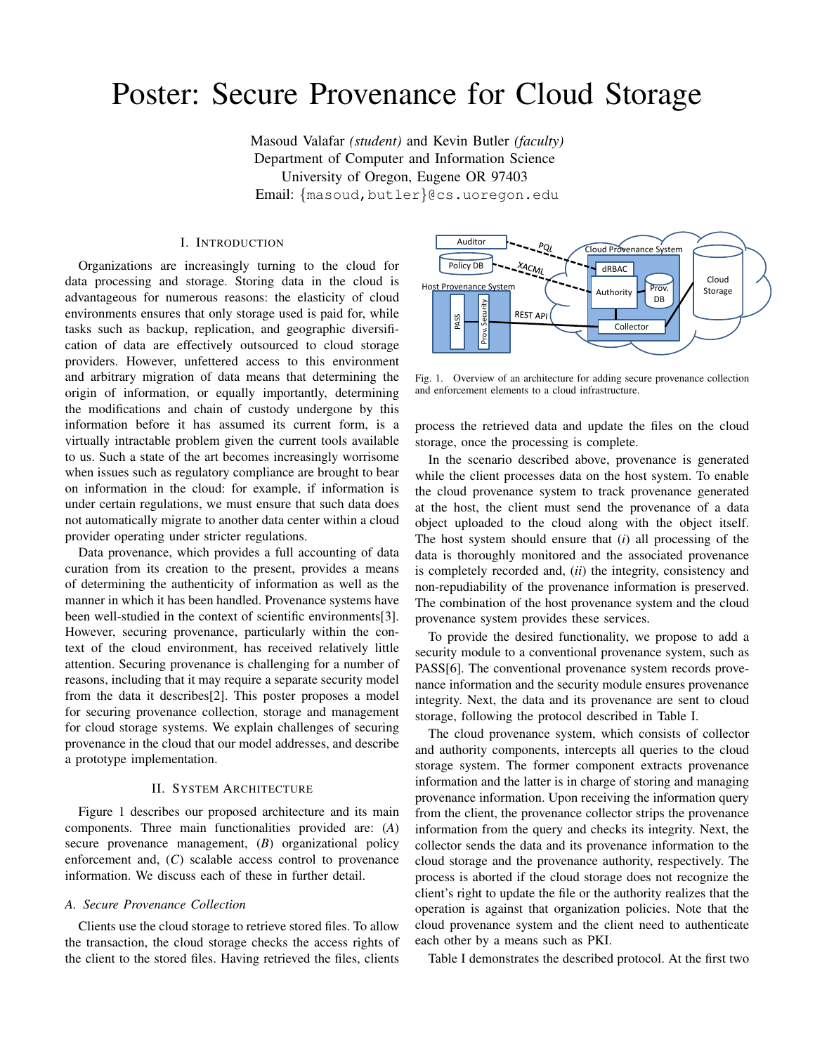# Poster: Secure Provenance for Cloud Storage

Masoud Valafar *(student)* and Kevin Butler *(faculty)* Department of Computer and Information Science University of Oregon, Eugene OR 97403 Email: {masoud,butler}@cs.uoregon.edu

# I. INTRODUCTION

Organizations are increasingly turning to the cloud for data processing and storage. Storing data in the cloud is advantageous for numerous reasons: the elasticity of cloud environments ensures that only storage used is paid for, while tasks such as backup, replication, and geographic diversification of data are effectively outsourced to cloud storage providers. However, unfettered access to this environment and arbitrary migration of data means that determining the origin of information, or equally importantly, determining the modifications and chain of custody undergone by this information before it has assumed its current form, is a virtually intractable problem given the current tools available to us. Such a state of the art becomes increasingly worrisome when issues such as regulatory compliance are brought to bear on information in the cloud: for example, if information is under certain regulations, we must ensure that such data does not automatically migrate to another data center within a cloud provider operating under stricter regulations.

Data provenance, which provides a full accounting of data curation from its creation to the present, provides a means of determining the authenticity of information as well as the manner in which it has been handled. Provenance systems have been well-studied in the context of scientific environments[3]. However, securing provenance, particularly within the context of the cloud environment, has received relatively little attention. Securing provenance is challenging for a number of reasons, including that it may require a separate security model from the data it describes[2]. This poster proposes a model for securing provenance collection, storage and management for cloud storage systems. We explain challenges of securing provenance in the cloud that our model addresses, and describe a prototype implementation.

# II. SYSTEM ARCHITECTURE

Figure 1 describes our proposed architecture and its main components. Three main functionalities provided are: (*A*) secure provenance management, (*B*) organizational policy enforcement and, (*C*) scalable access control to provenance information. We discuss each of these in further detail.

# *A. Secure Provenance Collection*

Clients use the cloud storage to retrieve stored files. To allow the transaction, the cloud storage checks the access rights of the client to the stored files. Having retrieved the files, clients



Fig. 1. Overview of an architecture for adding secure provenance collection and enforcement elements to a cloud infrastructure.

process the retrieved data and update the files on the cloud storage, once the processing is complete.

In the scenario described above, provenance is generated while the client processes data on the host system. To enable the cloud provenance system to track provenance generated at the host, the client must send the provenance of a data object uploaded to the cloud along with the object itself. The host system should ensure that (*i*) all processing of the data is thoroughly monitored and the associated provenance is completely recorded and, (*ii*) the integrity, consistency and non-repudiability of the provenance information is preserved. The combination of the host provenance system and the cloud provenance system provides these services.

To provide the desired functionality, we propose to add a security module to a conventional provenance system, such as PASS[6]. The conventional provenance system records provenance information and the security module ensures provenance integrity. Next, the data and its provenance are sent to cloud storage, following the protocol described in Table I.

The cloud provenance system, which consists of collector and authority components, intercepts all queries to the cloud storage system. The former component extracts provenance information and the latter is in charge of storing and managing provenance information. Upon receiving the information query from the client, the provenance collector strips the provenance information from the query and checks its integrity. Next, the collector sends the data and its provenance information to the cloud storage and the provenance authority, respectively. The process is aborted if the cloud storage does not recognize the client's right to update the file or the authority realizes that the operation is against that organization policies. Note that the cloud provenance system and the client need to authenticate each other by a means such as PKI.

Table I demonstrates the described protocol. At the first two